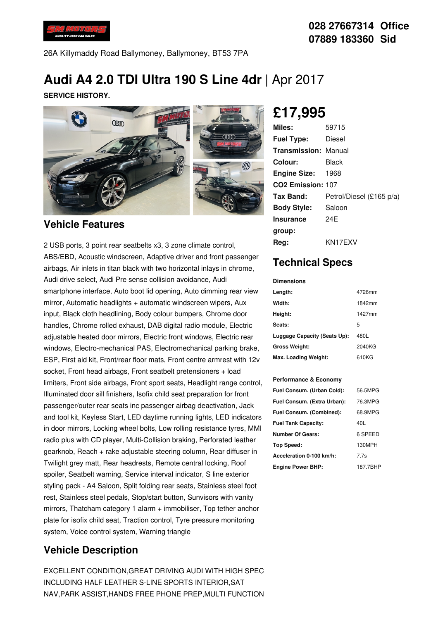

26A Killymaddy Road Ballymoney, Ballymoney, BT53 7PA

# **Audi A4 2.0 TDI Ultra 190 S Line 4dr** |Apr 2017

**SERVICE HISTORY.**



#### **Vehicle Features**

2 USB ports, 3 point rear seatbelts x3, 3 zone climate control, ABS/EBD, Acoustic windscreen, Adaptive driver and front passenger airbags, Air inlets in titan black with two horizontal inlays in chrome, Audi drive select, Audi Pre sense collision avoidance, Audi smartphone interface, Auto boot lid opening, Auto dimming rear view mirror, Automatic headlights + automatic windscreen wipers, Aux input, Black cloth headlining, Body colour bumpers, Chrome door handles, Chrome rolled exhaust, DAB digital radio module, Electric adjustable heated door mirrors, Electric front windows, Electric rear windows, Electro-mechanical PAS, Electromechanical parking brake, ESP, First aid kit, Front/rear floor mats, Front centre armrest with 12v socket, Front head airbags, Front seatbelt pretensioners + load limiters, Front side airbags, Front sport seats, Headlight range control, Illuminated door sill finishers, Isofix child seat preparation for front passenger/outer rear seats inc passenger airbag deactivation, Jack and tool kit, Keyless Start, LED daytime running lights, LED indicators in door mirrors, Locking wheel bolts, Low rolling resistance tyres, MMI radio plus with CD player, Multi-Collision braking, Perforated leather gearknob, Reach + rake adjustable steering column, Rear diffuser in Twilight grey matt, Rear headrests, Remote central locking, Roof spoiler, Seatbelt warning, Service interval indicator, S line exterior styling pack - A4 Saloon, Split folding rear seats, Stainless steel foot rest, Stainless steel pedals, Stop/start button, Sunvisors with vanity mirrors, Thatcham category 1 alarm + immobiliser, Top tether anchor plate for isofix child seat, Traction control, Tyre pressure monitoring system, Voice control system, Warning triangle

### **Vehicle Description**

EXCELLENT CONDITION,GREAT DRIVING AUDI WITH HIGH SPEC INCLUDING HALF LEATHER S-LINE SPORTS INTERIOR,SAT NAV,PARK ASSIST,HANDS FREE PHONE PREP,MULTI FUNCTION

**£17,995**

| Miles:                        | 59715                    |
|-------------------------------|--------------------------|
| <b>Fuel Type:</b>             | Diesel                   |
| <b>Transmission: Manual</b>   |                          |
| Colour:                       | Black                    |
| <b>Engine Size: 1968</b>      |                          |
| CO <sub>2</sub> Emission: 107 |                          |
| Tax Band:                     | Petrol/Diesel (£165 p/a) |
| <b>Body Style:</b>            | Saloon                   |
| <b>Insurance</b>              | 24F                      |
| group:                        |                          |
| Reg:                          | KN17EXV                  |

## **Technical Specs**

**Dimensions**

| Length:                      | 4726mm |
|------------------------------|--------|
| Width:                       | 1842mm |
| Height:                      | 1427mm |
| Seats:                       | 5      |
| Luggage Capacity (Seats Up): | 480L   |
| <b>Gross Weight:</b>         | 2040KG |
| Max. Loading Weight:         | 610KG  |

#### **Performance & Economy**

| Fuel Consum. (Urban Cold):  | 56.5MPG  |
|-----------------------------|----------|
| Fuel Consum. (Extra Urban): | 76.3MPG  |
| Fuel Consum. (Combined):    | 68.9MPG  |
| <b>Fuel Tank Capacity:</b>  | 40L      |
| <b>Number Of Gears:</b>     | 6 SPEED  |
| Top Speed:                  | 130MPH   |
| Acceleration 0-100 km/h:    | 7.7s     |
| <b>Engine Power BHP:</b>    | 187.7BHP |